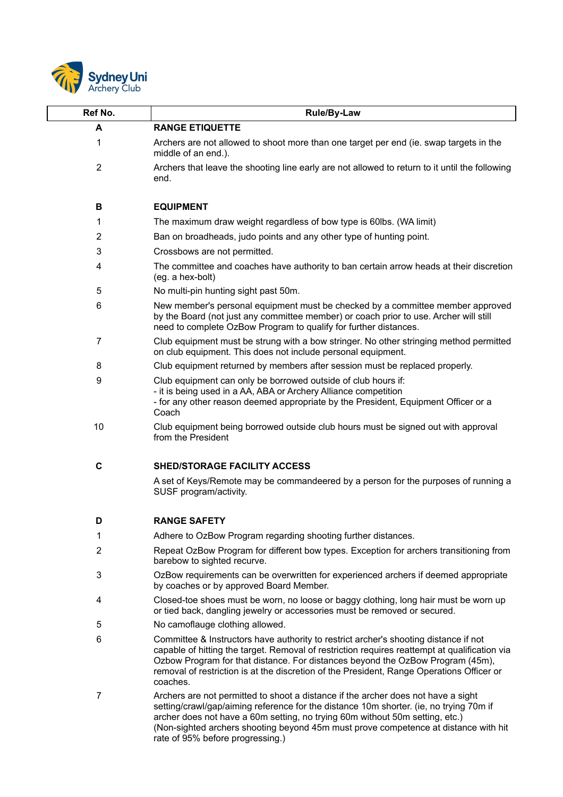

 $\sqrt{ }$ 

| Ref No.        | <b>Rule/By-Law</b>                                                                                                                                                                                                                                                                                                                                                   |
|----------------|----------------------------------------------------------------------------------------------------------------------------------------------------------------------------------------------------------------------------------------------------------------------------------------------------------------------------------------------------------------------|
| A              | <b>RANGE ETIQUETTE</b>                                                                                                                                                                                                                                                                                                                                               |
| 1              | Archers are not allowed to shoot more than one target per end (ie. swap targets in the<br>middle of an end.).                                                                                                                                                                                                                                                        |
| $\overline{2}$ | Archers that leave the shooting line early are not allowed to return to it until the following<br>end.                                                                                                                                                                                                                                                               |
| в              | <b>EQUIPMENT</b>                                                                                                                                                                                                                                                                                                                                                     |
| 1              | The maximum draw weight regardless of bow type is 60lbs. (WA limit)                                                                                                                                                                                                                                                                                                  |
| 2              | Ban on broadheads, judo points and any other type of hunting point.                                                                                                                                                                                                                                                                                                  |
| 3              | Crossbows are not permitted.                                                                                                                                                                                                                                                                                                                                         |
| 4              | The committee and coaches have authority to ban certain arrow heads at their discretion<br>(eg. a hex-bolt)                                                                                                                                                                                                                                                          |
| 5              | No multi-pin hunting sight past 50m.                                                                                                                                                                                                                                                                                                                                 |
| 6              | New member's personal equipment must be checked by a committee member approved<br>by the Board (not just any committee member) or coach prior to use. Archer will still<br>need to complete OzBow Program to qualify for further distances.                                                                                                                          |
| $\overline{7}$ | Club equipment must be strung with a bow stringer. No other stringing method permitted<br>on club equipment. This does not include personal equipment.                                                                                                                                                                                                               |
| 8              | Club equipment returned by members after session must be replaced properly.                                                                                                                                                                                                                                                                                          |
| 9              | Club equipment can only be borrowed outside of club hours if:<br>- it is being used in a AA, ABA or Archery Alliance competition<br>- for any other reason deemed appropriate by the President, Equipment Officer or a<br>Coach                                                                                                                                      |
| 10             | Club equipment being borrowed outside club hours must be signed out with approval<br>from the President                                                                                                                                                                                                                                                              |
| $\mathbf c$    | <b>SHED/STORAGE FACILITY ACCESS</b>                                                                                                                                                                                                                                                                                                                                  |
|                | A set of Keys/Remote may be commandeered by a person for the purposes of running a<br>SUSF program/activity.                                                                                                                                                                                                                                                         |
| D              | <b>RANGE SAFETY</b>                                                                                                                                                                                                                                                                                                                                                  |
| 1              | Adhere to OzBow Program regarding shooting further distances.                                                                                                                                                                                                                                                                                                        |
| 2              | Repeat OzBow Program for different bow types. Exception for archers transitioning from<br>barebow to sighted recurve.                                                                                                                                                                                                                                                |
| 3              | OzBow requirements can be overwritten for experienced archers if deemed appropriate<br>by coaches or by approved Board Member.                                                                                                                                                                                                                                       |
| 4              | Closed-toe shoes must be worn, no loose or baggy clothing, long hair must be worn up<br>or tied back, dangling jewelry or accessories must be removed or secured.                                                                                                                                                                                                    |
| 5              | No camoflauge clothing allowed.                                                                                                                                                                                                                                                                                                                                      |
| 6              | Committee & Instructors have authority to restrict archer's shooting distance if not<br>capable of hitting the target. Removal of restriction requires reattempt at qualification via<br>Ozbow Program for that distance. For distances beyond the OzBow Program (45m),<br>removal of restriction is at the discretion of the President, Range Operations Officer or |

7 Archers are not permitted to shoot a distance if the archer does not have a sight setting/crawl/gap/aiming reference for the distance 10m shorter. (ie, no trying 70m if archer does not have a 60m setting, no trying 60m without 50m setting, etc.) (Non-sighted archers shooting beyond 45m must prove competence at distance with hit rate of 95% before progressing.)

coaches.